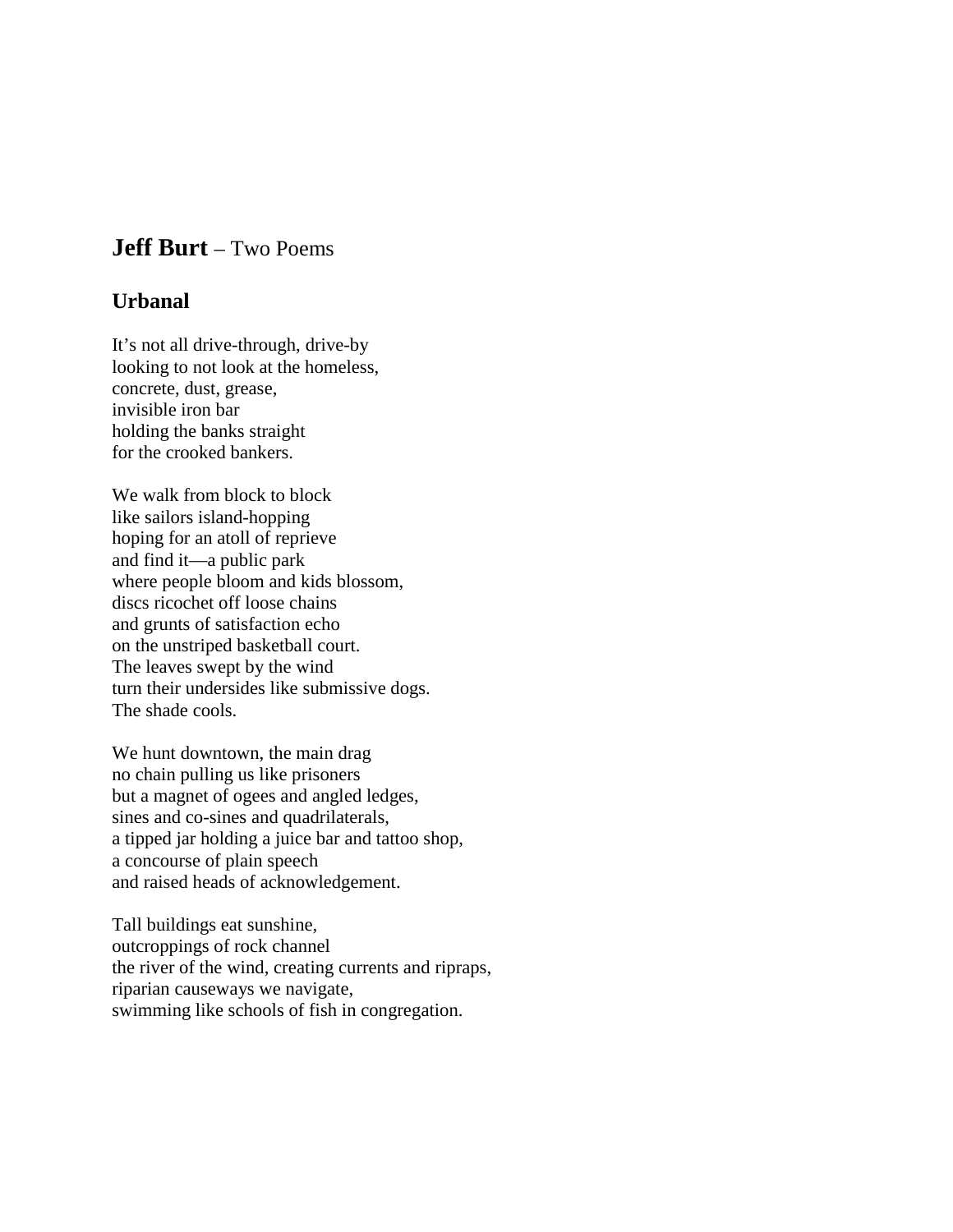## **Jeff Burt** – Two Poems

## **Urbanal**

It's not all drive-through, drive-by looking to not look at the homeless, concrete, dust, grease, invisible iron bar holding the banks straight for the crooked bankers.

We walk from block to block like sailors island-hopping hoping for an atoll of reprieve and find it—a public park where people bloom and kids blossom, discs ricochet off loose chains and grunts of satisfaction echo on the unstriped basketball court. The leaves swept by the wind turn their undersides like submissive dogs. The shade cools.

We hunt downtown, the main drag no chain pulling us like prisoners but a magnet of ogees and angled ledges, sines and co-sines and quadrilaterals, a tipped jar holding a juice bar and tattoo shop, a concourse of plain speech and raised heads of acknowledgement.

Tall buildings eat sunshine, outcroppings of rock channel the river of the wind, creating currents and ripraps, riparian causeways we navigate, swimming like schools of fish in congregation.